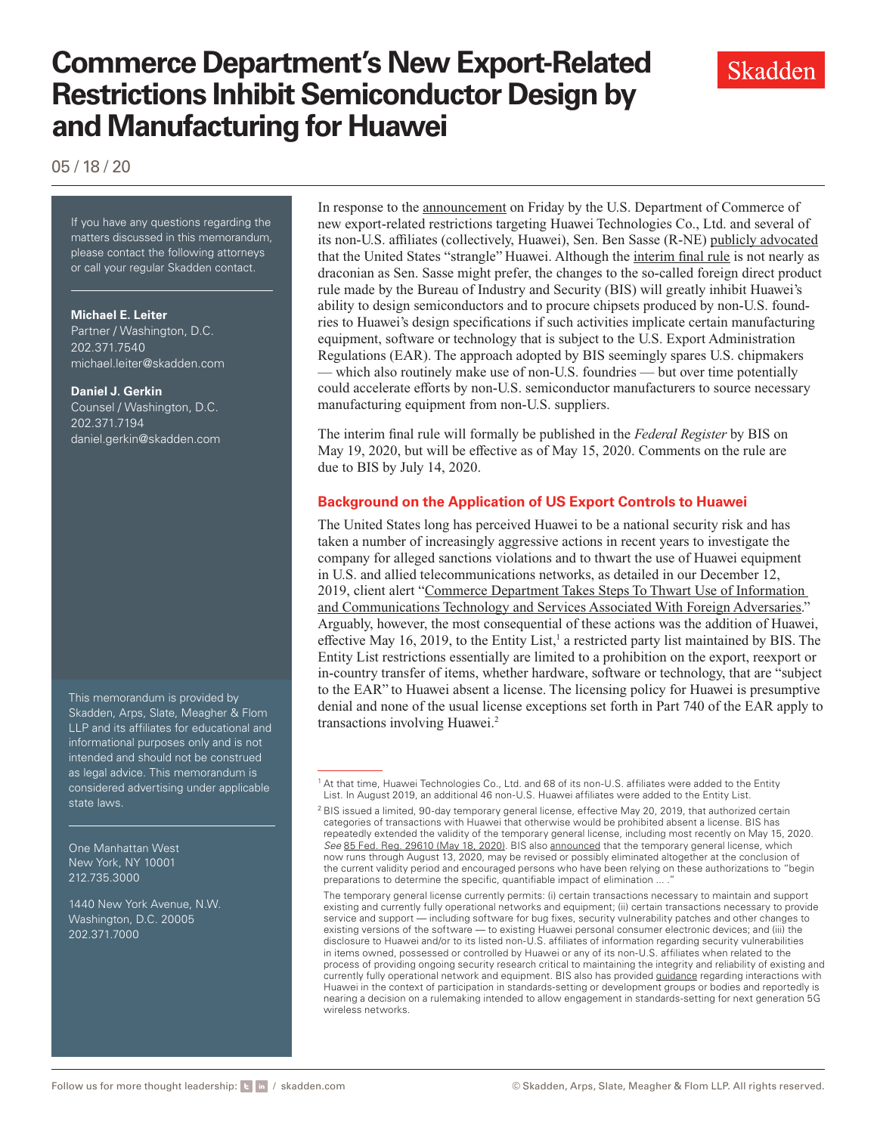# **Commerce Department's New Export-Related Restrictions Inhibit Semiconductor Design by and Manufacturing for Huawei**

05 / 18 / 20

If you have any questions regarding If you have any questions regarding the matters discussed in this memorandum, please contact the following attorneys or call your regular Skadden contact.

#### **Michael E. Leiter**

Partner / Washington, D.C. 202.371.7540 [michael.leiter@skadden.com](mailto:michael.leiter@skadden.com)

#### **Daniel J. Gerkin**

Counsel / Washington, D.C. 202.371.7194 [daniel.gerkin@skadden.com](mailto:daniel.gerkin@skadden.com)

This memorandum is provided by Skadden, Arps, Slate, Meagher & Flom LLP and its affiliates for educational and informational purposes only and is not intended and should not be construed as legal advice. This memorandum is considered advertising under applicable state laws.

One Manhattan West New York, NY 10001 212.735.3000

1440 New York Avenue, N.W. Washington, D.C. 20005 202.371.7000

In response to the [announcement](https://www.commerce.gov/news/press-releases/2020/05/commerce-addresses-huaweis-efforts-undermine-entity-list-restricts) on Friday by the U.S. Department of Commerce of new export-related restrictions targeting Huawei Technologies Co., Ltd. and several of its non-U.S. affiliates (collectively, Huawei), Sen. Ben Sasse (R-NE) [publicly advocated](https://www.sasse.senate.gov/public/index.cfm/press-releases?ID=5EBC781D-FE17-4CA5-8E72-5F7FF6539279) that the United States "strangle" Huawei. Although the [interim final rule](https://www.skadden.com/-/media/files/publications/2020/05/huawei/interim_final_rules.pdf?la=en) is not nearly as draconian as Sen. Sasse might prefer, the changes to the so-called foreign direct product rule made by the Bureau of Industry and Security (BIS) will greatly inhibit Huawei's ability to design semiconductors and to procure chipsets produced by non-U.S. foundries to Huawei's design specifications if such activities implicate certain manufacturing equipment, software or technology that is subject to the U.S. Export Administration Regulations (EAR). The approach adopted by BIS seemingly spares U.S. chipmakers — which also routinely make use of non-U.S. foundries — but over time potentially could accelerate efforts by non-U.S. semiconductor manufacturers to source necessary manufacturing equipment from non-U.S. suppliers.

The interim final rule will formally be published in the *Federal Register* by BIS on May 19, 2020, but will be effective as of May 15, 2020. Comments on the rule are due to BIS by July 14, 2020.

### **Background on the Application of US Export Controls to Huawei**

The United States long has perceived Huawei to be a national security risk and has taken a number of increasingly aggressive actions in recent years to investigate the company for alleged sanctions violations and to thwart the use of Huawei equipment in U.S. and allied telecommunications networks, as detailed in our December 12, 2019, client alert "Commerce Department Takes Steps To Thwart Use of Information [and Communications Technology and Services Associated With Foreign Adversaries.](https://www.skadden.com/insights/publications/2019/12/commerce-department-takes-steps)" Arguably, however, the most consequential of these actions was the addition of Huawei, effective May 16, 2019, to the Entity List,<sup>1</sup> a restricted party list maintained by BIS. The Entity List restrictions essentially are limited to a prohibition on the export, reexport or in-country transfer of items, whether hardware, software or technology, that are "subject to the EAR" to Huawei absent a license. The licensing policy for Huawei is presumptive denial and none of the usual license exceptions set forth in Part 740 of the EAR apply to transactions involving Huawei.2

The temporary general license currently permits: (i) certain transactions necessary to maintain and support existing and currently fully operational networks and equipment; (ii) certain transactions necessary to provide service and support — including software for bug fixes, security vulnerability patches and other changes to existing versions of the software — to existing Huawei personal consumer electronic devices; and (iii) the disclosure to Huawei and/or to its listed non-U.S. affiliates of information regarding security vulnerabilities in items owned, possessed or controlled by Huawei or any of its non-U.S. affiliates when related to the process of providing ongoing security research critical to maintaining the integrity and reliability of existing and currently fully operational network and equipment. BIS also has provided [guidance](https://www.skadden.com/-/media/files/publications/2020/05/huawei/guidance.pdf?la=en) regarding interactions with Huawei in the context of participation in standards-setting or development groups or bodies and reportedly is nearing a decision on a rulemaking intended to allow engagement in standards-setting for next generation 5G wireless networks.



<sup>1</sup> At that time, Huawei Technologies Co., Ltd. and 68 of its non-U.S. affiliates were added to the Entity List. In August 2019, an additional 46 non-U.S. Huawei affiliates were added to the Entity List.

 $2$  BIS issued a limited, 90-day temporary general license, effective May 20, 2019, that authorized certain categories of transactions with Huawei that otherwise would be prohibited absent a license. BIS has repeatedly extended the validity of the temporary general license, including most recently on May 15, 2020. *See* [85 Fed. Reg. 29610 \(May 18, 2020\).](https://www.skadden.com/-/media/files/publications/2020/05/huawei/202010614.pdf?la=en) BIS also [announced](https://www.commerce.gov/news/press-releases/2020/05/department-commerce-issues-expected-final-90-day-extension-temporary) that the temporary general license, which now runs through August 13, 2020, may be revised or possibly eliminated altogether at the conclusion of the current validity period and encouraged persons who have been relying on these authorizations to "begin preparations to determine the specific, quantifiable impact of elimination ...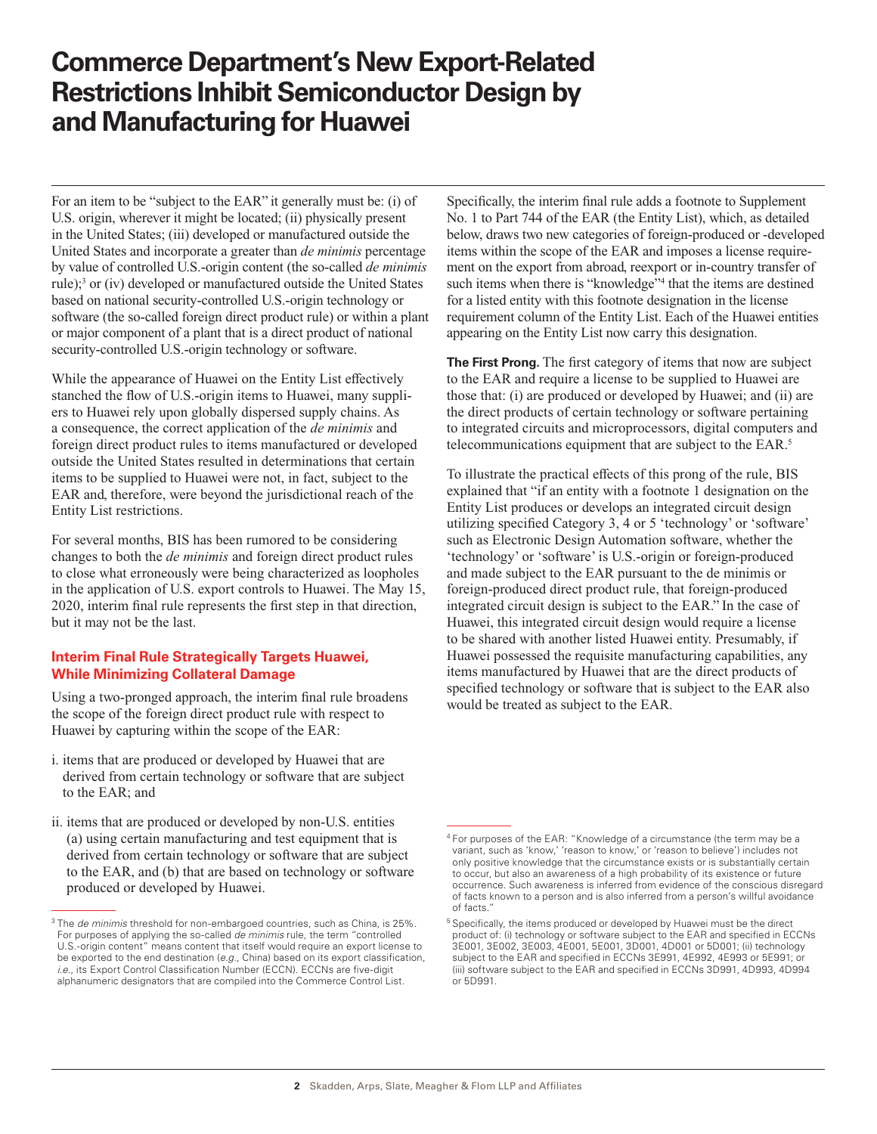## **Commerce Department's New Export-Related Restrictions Inhibit Semiconductor Design by and Manufacturing for Huawei**

For an item to be "subject to the EAR" it generally must be: (i) of U.S. origin, wherever it might be located; (ii) physically present in the United States; (iii) developed or manufactured outside the United States and incorporate a greater than *de minimis* percentage by value of controlled U.S.-origin content (the so-called *de minimis* rule);<sup>3</sup> or (iv) developed or manufactured outside the United States based on national security-controlled U.S.-origin technology or software (the so-called foreign direct product rule) or within a plant or major component of a plant that is a direct product of national security-controlled U.S.-origin technology or software.

While the appearance of Huawei on the Entity List effectively stanched the flow of U.S.-origin items to Huawei, many suppliers to Huawei rely upon globally dispersed supply chains. As a consequence, the correct application of the *de minimis* and foreign direct product rules to items manufactured or developed outside the United States resulted in determinations that certain items to be supplied to Huawei were not, in fact, subject to the EAR and, therefore, were beyond the jurisdictional reach of the Entity List restrictions.

For several months, BIS has been rumored to be considering changes to both the *de minimis* and foreign direct product rules to close what erroneously were being characterized as loopholes in the application of U.S. export controls to Huawei. The May 15, 2020, interim final rule represents the first step in that direction, but it may not be the last.

### **Interim Final Rule Strategically Targets Huawei, While Minimizing Collateral Damage**

Using a two-pronged approach, the interim final rule broadens the scope of the foreign direct product rule with respect to Huawei by capturing within the scope of the EAR:

- i. items that are produced or developed by Huawei that are derived from certain technology or software that are subject to the EAR; and
- ii. items that are produced or developed by non-U.S. entities (a) using certain manufacturing and test equipment that is derived from certain technology or software that are subject to the EAR, and (b) that are based on technology or software produced or developed by Huawei.

Specifically, the interim final rule adds a footnote to Supplement No. 1 to Part 744 of the EAR (the Entity List), which, as detailed below, draws two new categories of foreign-produced or -developed items within the scope of the EAR and imposes a license requirement on the export from abroad, reexport or in-country transfer of such items when there is "knowledge"<sup>4</sup> that the items are destined for a listed entity with this footnote designation in the license requirement column of the Entity List. Each of the Huawei entities appearing on the Entity List now carry this designation.

**The First Prong.** The first category of items that now are subject to the EAR and require a license to be supplied to Huawei are those that: (i) are produced or developed by Huawei; and (ii) are the direct products of certain technology or software pertaining to integrated circuits and microprocessors, digital computers and telecommunications equipment that are subject to the EAR.5

To illustrate the practical effects of this prong of the rule, BIS explained that "if an entity with a footnote 1 designation on the Entity List produces or develops an integrated circuit design utilizing specified Category 3, 4 or 5 'technology' or 'software' such as Electronic Design Automation software, whether the 'technology' or 'software' is U.S.-origin or foreign-produced and made subject to the EAR pursuant to the de minimis or foreign-produced direct product rule, that foreign-produced integrated circuit design is subject to the EAR." In the case of Huawei, this integrated circuit design would require a license to be shared with another listed Huawei entity. Presumably, if Huawei possessed the requisite manufacturing capabilities, any items manufactured by Huawei that are the direct products of specified technology or software that is subject to the EAR also would be treated as subject to the EAR.

<sup>3</sup> The *de minimis* threshold for non-embargoed countries, such as China, is 25%. For purposes of applying the so-called *de minimis* rule, the term "controlled U.S.-origin content" means content that itself would require an export license to be exported to the end destination (*e.g*., China) based on its export classification, *i.e*., its Export Control Classification Number (ECCN). ECCNs are five-digit alphanumeric designators that are compiled into the Commerce Control List.

 $4$  For purposes of the EAR: "Knowledge of a circumstance (the term may be a variant, such as 'know,' 'reason to know,' or 'reason to believe') includes not only positive knowledge that the circumstance exists or is substantially certain to occur, but also an awareness of a high probability of its existence or future occurrence. Such awareness is inferred from evidence of the conscious disregard of facts known to a person and is also inferred from a person's willful avoidance of facts."

<sup>&</sup>lt;sup>5</sup> Specifically, the items produced or developed by Huawei must be the direct product of: (i) technology or software subject to the EAR and specified in ECCNs 3E001, 3E002, 3E003, 4E001, 5E001, 3D001, 4D001 or 5D001; (ii) technology subject to the EAR and specified in ECCNs 3E991, 4E992, 4E993 or 5E991; or (iii) software subject to the EAR and specified in ECCNs 3D991, 4D993, 4D994 or 5D991.